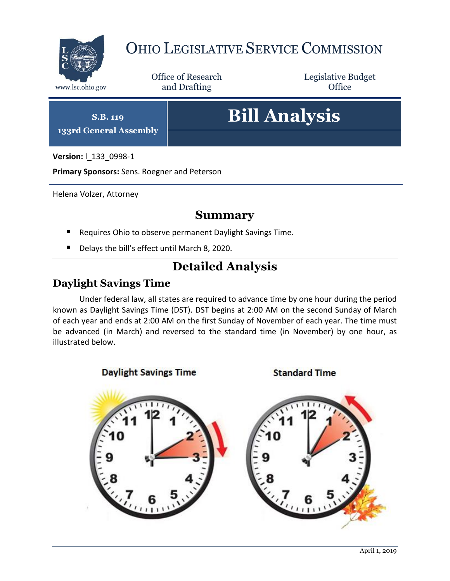

## OHIO LEGISLATIVE SERVICE COMMISSION

Office of Research www.lsc.ohio.gov and Drafting Control Control of Control Control Office

Legislative Budget

**S.B. 119 133rd General Assembly**

# **Bill Analysis**

**Version:** l\_133\_0998-1

**Primary Sponsors:** Sens. Roegner and Peterson

Helena Volzer, Attorney

### **Summary**

- Requires Ohio to observe permanent Daylight Savings Time.
- Delays the bill's effect until March 8, 2020.

## **Detailed Analysis**

## **Daylight Savings Time**

Under federal law, all states are required to advance time by one hour during the period known as Daylight Savings Time (DST). DST begins at 2:00 AM on the second Sunday of March of each year and ends at 2:00 AM on the first Sunday of November of each year. The time must be advanced (in March) and reversed to the standard time (in November) by one hour, as illustrated below.